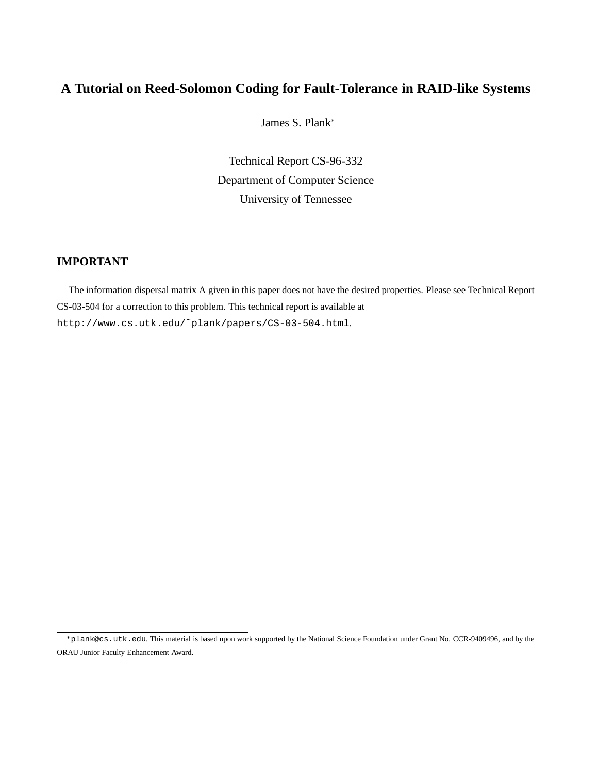# **A Tutorial on Reed-Solomon Coding for Fault-Tolerance in RAID-like Systems**

James S. Plank

Technical Report CS-96-332 Department of Computer Science University of Tennessee

# **IMPORTANT**

The information dispersal matrix A given in this paper does not have the desired properties. Please see Technical Report CS-03-504 for a correction to this problem. This technical report is available at http://www.cs.utk.edu/˜plank/papers/CS-03-504.html.

plank@cs.utk.edu. This material is based upon work supported by the National Science Foundation under Grant No. CCR-9409496, and by the ORAU Junior Faculty Enhancement Award.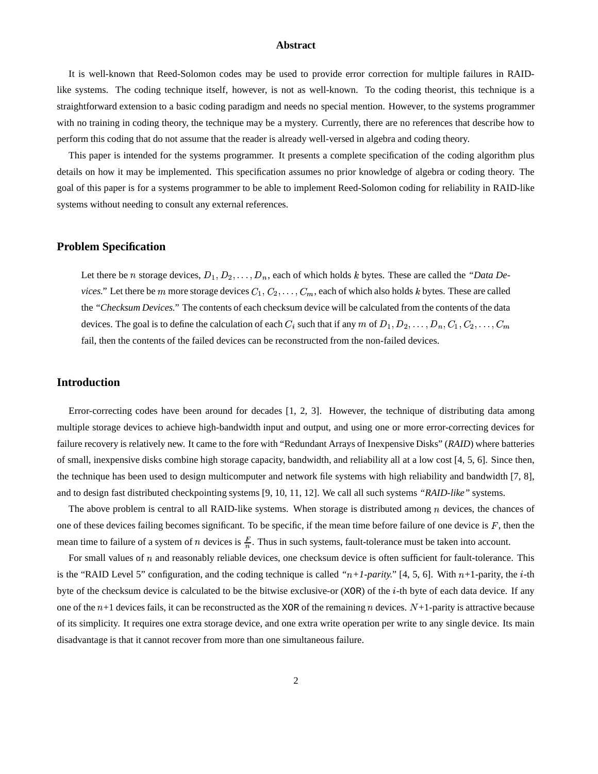#### **Abstract**

It is well-known that Reed-Solomon codes may be used to provide error correction for multiple failures in RAIDlike systems. The coding technique itself, however, is not as well-known. To the coding theorist, this technique is a straightforward extension to a basic coding paradigm and needs no special mention. However, to the systems programmer with no training in coding theory, the technique may be a mystery. Currently, there are no references that describe how to perform this coding that do not assume that the reader is already well-versed in algebra and coding theory.

This paper is intended for the systems programmer. It presents a complete specification of the coding algorithm plus details on how it may be implemented. This specification assumes no prior knowledge of algebra or coding theory. The goal of this paper is for a systems programmer to be able to implement Reed-Solomon coding for reliability in RAID-like systems without needing to consult any external references.

### **Problem Specification**

Let there be *n* storage devices,  $D_1, D_2, \ldots, D_n$ , each of which holds *k* bytes. These are called the *"Data Devices.*" Let there be m more storage devices  $C_1, C_2, \ldots, C_m$ , each of which also holds k bytes. These are called the *"Checksum Devices."* The contents of each checksum device will be calculated from the contents of the data devices. The goal is to define the calculation of each  $C_i$  such that if any  $m$  of  $D_1, D_2, \ldots, D_n, C_1, C_2, \ldots, C_m$ fail, then the contents of the failed devices can be reconstructed from the non-failed devices.

### **Introduction**

Error-correcting codes have been around for decades [1, 2, 3]. However, the technique of distributing data among multiple storage devices to achieve high-bandwidth input and output, and using one or more error-correcting devices for failure recovery is relatively new. It came to the fore with "Redundant Arrays of Inexpensive Disks" (*RAID*) where batteries of small, inexpensive disks combine high storage capacity, bandwidth, and reliability all at a low cost [4, 5, 6]. Since then, the technique has been used to design multicomputer and network file systems with high reliability and bandwidth [7, 8], and to design fast distributed checkpointing systems [9, 10, 11, 12]. We call all such systems *"RAID-like"* systems.

The above problem is central to all RAID-like systems. When storage is distributed among  $n$  devices, the chances of one of these devices failing becomes significant. To be specific, if the mean time before failure of one device is  $F$ , then the mean time to failure of a system of *n* devices is  $\frac{F}{n}$ . Thus in such systems, fault-tolerance must be taken into account.

For small values of  $n$  and reasonably reliable devices, one checksum device is often sufficient for fault-tolerance. This is the "RAID Level 5" configuration, and the coding technique is called " $n+1$ -parity." [4, 5, 6]. With  $n+1$ -parity, the *i*-th byte of the checksum device is calculated to be the bitwise exclusive-or (XOR) of the  $i$ -th byte of each data device. If any one of the  $n+1$  devices fails, it can be reconstructed as the XOR of the remaining n devices.  $N+1$ -parity is attractive because of its simplicity. It requires one extra storage device, and one extra write operation per write to any single device. Its main disadvantage is that it cannot recover from more than one simultaneous failure.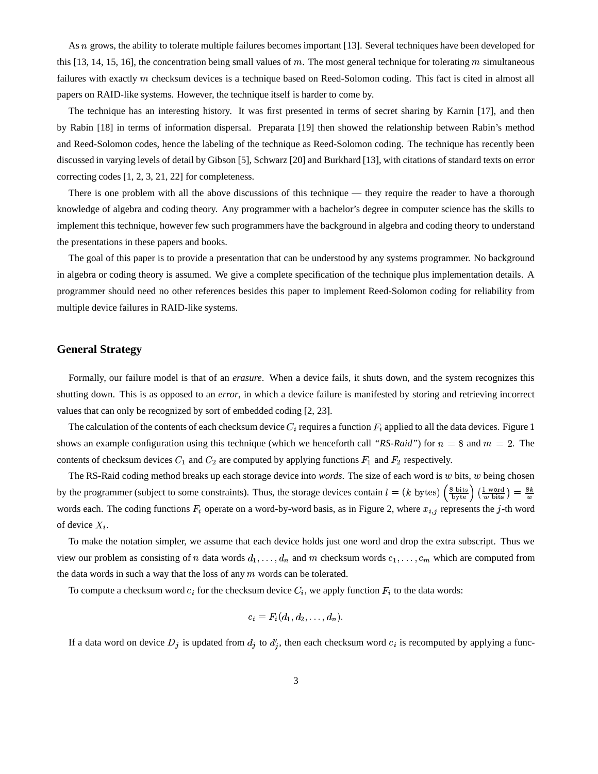As  $n$  grows, the ability to tolerate multiple failures becomes important [13]. Several techniques have been developed for this [13, 14, 15, 16], the concentration being small values of m. The most general technique for tolerating m simultaneous failures with exactly  $m$  checksum devices is a technique based on Reed-Solomon coding. This fact is cited in almost all papers on RAID-like systems. However, the technique itself is harder to come by.

The technique has an interesting history. It was first presented in terms of secret sharing by Karnin [17], and then by Rabin [18] in terms of information dispersal. Preparata [19] then showed the relationship between Rabin's method and Reed-Solomon codes, hence the labeling of the technique as Reed-Solomon coding. The technique has recently been discussed in varying levels of detail by Gibson [5], Schwarz [20] and Burkhard [13], with citations of standard texts on error correcting codes [1, 2, 3, 21, 22] for completeness.

There is one problem with all the above discussions of this technique — they require the reader to have a thorough knowledge of algebra and coding theory. Any programmer with a bachelor's degree in computer science has the skills to implement this technique, however few such programmers have the background in algebra and coding theory to understand the presentations in these papers and books.

The goal of this paper is to provide a presentation that can be understood by any systems programmer. No background in algebra or coding theory is assumed. We give a complete specification of the technique plus implementation details. A programmer should need no other references besides this paper to implement Reed-Solomon coding for reliability from multiple device failures in RAID-like systems.

### **General Strategy**

Formally, our failure model is that of an *erasure*. When a device fails, it shuts down, and the system recognizes this shutting down. This is as opposed to an *error*, in which a device failure is manifested by storing and retrieving incorrect values that can only be recognized by sort of embedded coding [2, 23].

The calculation of the contents of each checksum device  $C_i$  requires a function  $F_i$  applied to all the data devices. Figure 1 shows an example configuration using this technique (which we henceforth call *"RS-Raid"*) for  $n = 8$  and  $m = 2$ . The contents of checksum devices  $C_1$  and  $C_2$  are computed by applying functions  $F_1$  and  $F_2$  respectively.

The RS-Raid coding method breaks up each storage device into *words*. The size of each word is w bits, w being chosen by the programmer (subject to some constraints). Thus, the storage devices contain  $l = (k \text{ bytes}) \left(\frac{8 \text{ bits}}{\text{byte}}\right) \left(\frac{1 \text{ word}}{\text{w bits}}\right) = \frac{8k}{w}$  $\frac{1 + w \cdot \alpha}{w \cdot \text{bits}}$  =  $\frac{6w}{w}$ words each. The coding functions  $F_i$  operate on a word-by-word basis, as in Figure 2, where  $x_{i,j}$  represents the j-th word of device  $X_i$ .

To make the notation simpler, we assume that each device holds just one word and drop the extra subscript. Thus we view our problem as consisting of n data words  $d_1, \ldots, d_n$  and m checksum words  $c_1, \ldots, c_m$  which are computed from the data words in such a way that the loss of any  $m$  words can be tolerated.

To compute a checksum word  $c_i$  for the checksum device  $C_i$ , we apply function  $F_i$  to the data words:

$$
c_i=F_i(d_1,d_2,\ldots,d_n).
$$

If a data word on device  $D_j$  is updated from  $d_j$  to  $d'_j$ , then each checksum word  $c_i$  is recomputed by applying a func-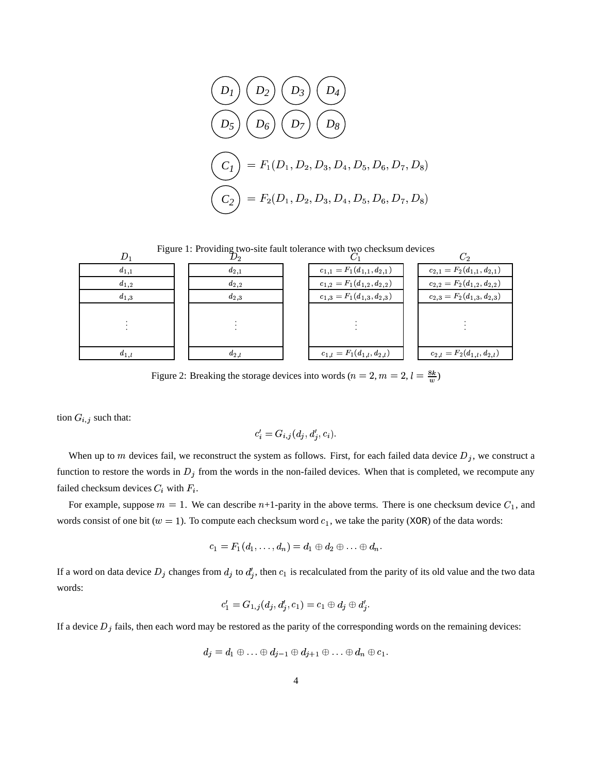$$
(D_1) (D_2) (D_3) (D_4)
$$
  
\n
$$
(D_5) (D_6) (D_7) (D_8)
$$
  
\n
$$
(C_1) = F_1(D_1, D_2, D_3, D_4, D_5, D_6, D_7, D_8)
$$
  
\n
$$
(C_2) = F_2(D_1, D_2, D_3, D_4, D_5, D_6, D_7, D_8)
$$

Figure 1: Providing two-site fault tolerance with two checksum devices

|           |           | $D_2$ $C_1$                       | $\scriptstyle C_2$                |
|-----------|-----------|-----------------------------------|-----------------------------------|
| $d_{1,1}$ | $d_{2,1}$ | $c_{1,1}=F_1(d_{1,1},d_{2,1})$    | $c_{2,1}=F_2(d_{1,1},d_{2,1})$    |
| $d_{1,2}$ | $d_{2,2}$ | $c_{1,2}=F_1(d_{1,2},d_{2,2})$    | $c_{2,2}=F_2(d_{1,2},d_{2,2})$    |
| $d_{1,3}$ | $d_{2,3}$ | $c_{1,3}=F_1(d_{1,3}, d_{2,3})$   | $c_{2,3}=F_2(d_{1,3},d_{2,3})$    |
|           |           |                                   |                                   |
|           |           |                                   |                                   |
|           |           |                                   |                                   |
| $a_{1,l}$ | $a_{2,l}$ | $c_{1,l} = F_1(d_{1,l}, d_{2,l})$ | $c_{2,l} = F_2(d_{1,l}, d_{2,l})$ |

Figure 2: Breaking the storage devices into words  $(n = 2, m = 2, l = \frac{8k}{m})$ 

tion  $G_{i,j}$  such that:

$$
c_i' = G_{i,j}(d_j, d_i', c_i).
$$

When up to m devices fail, we reconstruct the system as follows. First, for each failed data device  $D_i$ , we construct a function to restore the words in  $D_j$  from the words in the non-failed devices. When that is completed, we recompute any failed checksum devices  $C_i$  with  $F_i$ .

For example, suppose  $m = 1$ . We can describe  $n+1$ -parity in the above terms. There is one checksum device  $C_1$ , and words consist of one bit ( $w = 1$ ). To compute each checksum word  $c_1$ , we take the parity (XOR) of the data words:

$$
c_1=F_1(d_1,\ldots,d_n)=d_1\oplus d_2\oplus\ldots\oplus d_n.
$$

If a word on data device  $D_i$  changes from  $d_i$  to  $d'_i$ , then  $c_1$  is recalculated from the parity of its old value and the two data words:

$$
c'_1=G_{1,j}(d_j,d'_j,c_1)=c_1\oplus d_j\oplus d'_j.
$$

If a device  $D_i$  fails, then each word may be restored as the parity of the corresponding words on the remaining devices:

$$
d_j = d_1 \oplus \ldots \oplus d_{j-1} \oplus d_{j+1} \oplus \ldots \oplus d_n \oplus c_1.
$$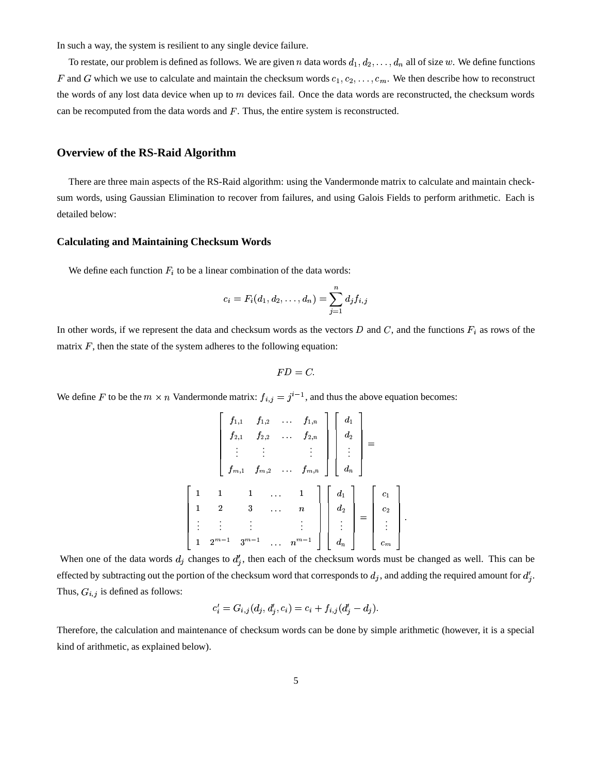In such a way, the system is resilient to any single device failure.

To restate, our problem is defined as follows. We are given *n* data words  $d_1, d_2, \ldots, d_n$  all of size w. We define functions F and G which we use to calculate and maintain the checksum words  $c_1, c_2, \ldots, c_m$ . We then describe how to reconstruct the words of any lost data device when up to  $m$  devices fail. Once the data words are reconstructed, the checksum words can be recomputed from the data words and  $F$ . Thus, the entire system is reconstructed.

### **Overview of the RS-Raid Algorithm**

There are three main aspects of the RS-Raid algorithm: using the Vandermonde matrix to calculate and maintain checksum words, using Gaussian Elimination to recover from failures, and using Galois Fields to perform arithmetic. Each is detailed below:

### **Calculating and Maintaining Checksum Words**

We define each function  $F_i$  to be a linear combination of the data words:

$$
c_i=F_i(d_1,d_2,\ldots,d_n)=\sum_{j=1}^nd_jf_{i,j}
$$

In other words, if we represent the data and checksum words as the vectors D and C, and the functions  $F_i$  as rows of the matrix  $F$ , then the state of the system adheres to the following equation:

$$
FD=C.
$$

We define F to be the  $m \times n$  Vandermonde matrix:  $f_{i,j} = j^{i-1}$ , and thus the above equation becomes:

$$
\begin{bmatrix}\nf_{1,1} & f_{1,2} & \cdots & f_{1,n} \\
f_{2,1} & f_{2,2} & \cdots & f_{2,n} \\
\vdots & \vdots & & \vdots \\
f_{m,1} & f_{m,2} & \cdots & f_{m,n}\n\end{bmatrix}\n\begin{bmatrix}\nd_1 \\
d_2 \\
\vdots \\
d_n\n\end{bmatrix} = \n\begin{bmatrix}\n1 & 1 & 1 & \cdots & 1 \\
1 & 2 & 3 & \cdots & n \\
\vdots & \vdots & & \vdots \\
1 & 2^{m-1} & 3^{m-1} & \cdots & n^{m-1}\n\end{bmatrix}\n\begin{bmatrix}\nd_1 \\
d_2 \\
\vdots \\
d_n\n\end{bmatrix} = \n\begin{bmatrix}\nc_1 \\
c_2 \\
\vdots \\
c_m\n\end{bmatrix}.
$$

When one of the data words  $d_j$  changes to  $d'_j$ , then each of the checksum words must be changed as well. This can be effected by subtracting out the portion of the checksum word that corresponds to  $d_j$ , and adding the required amount for  $d'_j$ . Thus,  $G_{i,j}$  is defined as follows:

$$
c'_{i} = G_{i,j}(d_j, d'_j, c_i) = c_i + f_{i,j}(d'_j - d_j).
$$

Therefore, the calculation and maintenance of checksum words can be done by simple arithmetic (however, it is a special kind of arithmetic, as explained below).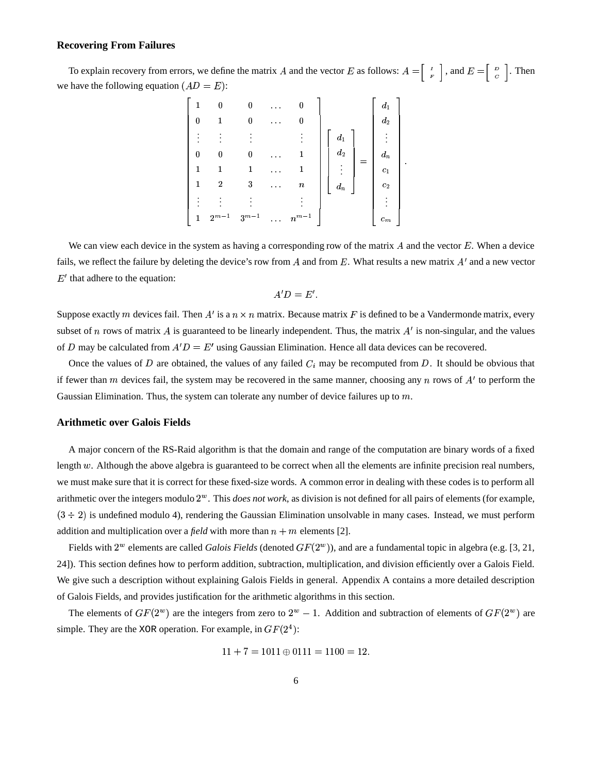### **Recovering From Failures**

To explain recovery from errors, we define the matrix A and the vector E as follows:  $A = \begin{bmatrix} 1 & 1 \\ 1 & 1 \end{bmatrix}$ , and  $E = \begin{bmatrix} 1 & 1 \\ 2 & 1 \end{bmatrix}$ . Then we have the following equation  $(AD = E)$ :

|          |                |           | $\alpha$ , $\alpha$ , $\alpha$     | 0                  |                    | $d_1$              |  |
|----------|----------------|-----------|------------------------------------|--------------------|--------------------|--------------------|--|
|          |                | 0         | $\alpha$ , $\alpha$ , $\alpha$     | 0                  |                    | $\boldsymbol{d}_2$ |  |
|          |                |           |                                    |                    | $\scriptstyle d_1$ |                    |  |
| $\Omega$ |                | 0         | $\mathbf{r}=\mathbf{r}+\mathbf{r}$ |                    | $\boldsymbol{d_2}$ | $\boldsymbol{d}_n$ |  |
|          |                |           | $\alpha$ , $\alpha$ , $\alpha$     |                    | ٠                  | $c_1$              |  |
|          | $\overline{2}$ | $\,3$     | $\sim 100$                         | $\boldsymbol{n}$   | $d_n$              | $\boldsymbol{c}_2$ |  |
|          |                |           |                                    |                    |                    |                    |  |
|          | $2^{m-1}$      | $3^{m-1}$ |                                    | $\cdots$ $n^{m-1}$ |                    | $c_m$              |  |

We can view each device in the system as having a corresponding row of the matrix  $A$  and the vector  $E$ . When a device fails, we reflect the failure by deleting the device's row from A and from E. What results a new matrix  $A'$  and a new vector  $E'$  that adhere to the equation:

$$
A'D = E'.
$$

Suppose exactly m devices fail. Then A' is a  $n \times n$  matrix. Because matrix F is defined to be a Vandermonde matrix, every subset of *n* rows of matrix A is guaranteed to be linearly independent. Thus, the matrix  $A'$  is non-singular, and the values of D may be calculated from  $A'D = E'$  using Gaussian Elimination. Hence all data devices can be recovered.

Once the values of D are obtained, the values of any failed  $C_i$  may be recomputed from D. It should be obvious that if fewer than m devices fail, the system may be recovered in the same manner, choosing any n rows of  $A'$  to perform the Gaussian Elimination. Thus, the system can tolerate any number of device failures up to  $m$ .

#### **Arithmetic over Galois Fields**

A major concern of the RS-Raid algorithm is that the domain and range of the computation are binary words of a fixed length  $w$ . Although the above algebra is guaranteed to be correct when all the elements are infinite precision real numbers, we must make sure that it is correct for these fixed-size words. A common error in dealing with these codes is to perform all arithmetic over the integers modulo  $2^w$ . This *does not work*, as division is not defined for all pairs of elements (for example,  $(3 \div 2)$  is undefined modulo 4), rendering the Gaussian Elimination unsolvable in many cases. Instead, we must perform addition and multiplication over a *field* with more than  $n + m$  elements [2].

Fields with  $2^w$  elements are called *Galois Fields* (denoted  $GF(2^w)$ ), and are a fundamental topic in algebra (e.g. [3, 21, 24]). This section defines how to perform addition, subtraction, multiplication, and division efficiently over a Galois Field. We give such a description without explaining Galois Fields in general. Appendix A contains a more detailed description of Galois Fields, and provides justification for the arithmetic algorithms in this section.

The elements of  $GF(2^w)$  are the integers from zero to  $2^w - 1$ . Addition and subtraction of elements of  $GF(2^w)$  are simple. They are the XOR operation. For example, in  $GF(2<sup>4</sup>)$ :

$$
11 + 7 = 1011 \oplus 0111 = 1100 = 12.
$$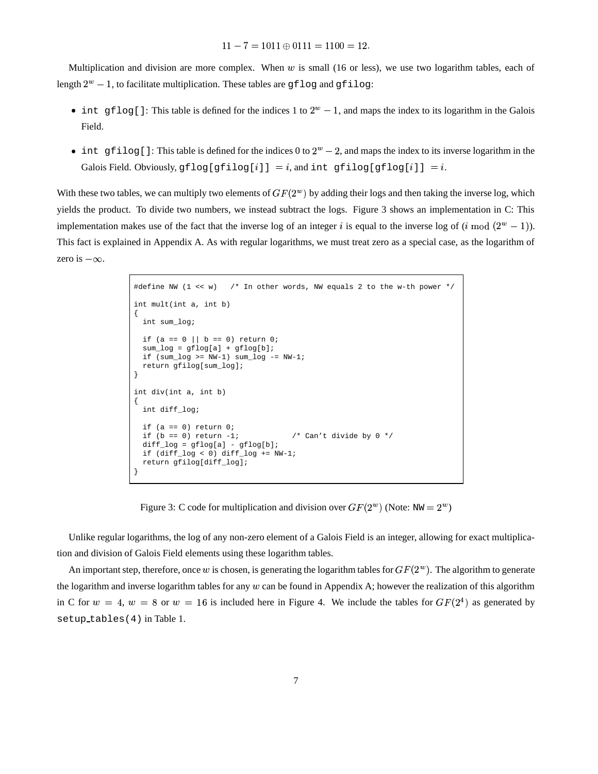$11 - 7 = 1011 \oplus 0111 = 1100 = 12.$ 

Multiplication and division are more complex. When  $w$  is small (16 or less), we use two logarithm tables, each of length  $2^w - 1$ , to facilitate multiplication. These tables are gflog and gfilog:

- int gflog[]: This table is defined for the indices 1 to  $2^w 1$ , and maps the index to its logarithm in the Galois Field.
- int gfilog[]: This table is defined for the indices 0 to  $2^w 2$ , and maps the index to its inverse logarithm in the Galois Field. Obviously,  $gflog[gfilog[i]] = i$ , and int gfilog[gflog[ $i$ ]] =  $i$ .

With these two tables, we can multiply two elements of  $GF(2^w)$  by adding their logs and then taking the inverse log, which yields the product. To divide two numbers, we instead subtract the logs. Figure 3 shows an implementation in C: This implementation makes use of the fact that the inverse log of an integer i is equal to the inverse log of  $(i \mod (2^w - 1))$ . This fact is explained in Appendix A. As with regular logarithms, we must treat zero as a special case, as the logarithm of zero is  $-\infty$ .

```
#define NW (1 << w) /* In other words, NW equals 2 to the w-th power */
int mult(int a, int b)
{
   int sum_log;
 if (a == 0 || b == 0) return 0;
  sum\_log = gflog[a] + gflog[b];if (sum\_log \gt = NW-1) sum\_log \gt = NW-1;
   return gfilog[sum_log];
}
int div(int a, int b)
{
   int diff_log;
  if (a == 0) return 0;
  if (b == 0) return -1; / * Can't divide by 0 * /diff\_log = gflog[a] - gflog[b]; if (diff_log < 0) diff_log += NW-1;
   return gfilog[diff_log];
}
```
Figure 3: C code for multiplication and division over  $GF(2^w)$  (Note: NW =  $2^w$ )

Unlike regular logarithms, the log of any non-zero element of a Galois Field is an integer, allowing for exact multiplication and division of Galois Field elements using these logarithm tables.

An important step, therefore, once w is chosen, is generating the logarithm tables for  $GF(2^w)$ . The algorithm to generate the logarithm and inverse logarithm tables for any  $w$  can be found in Appendix A; however the realization of this algorithm in C for  $w = 4$ ,  $w = 8$  or  $w = 16$  is included here in Figure 4. We include the tables for  $GF(2^4)$  as generated by setup tables(4) in Table 1.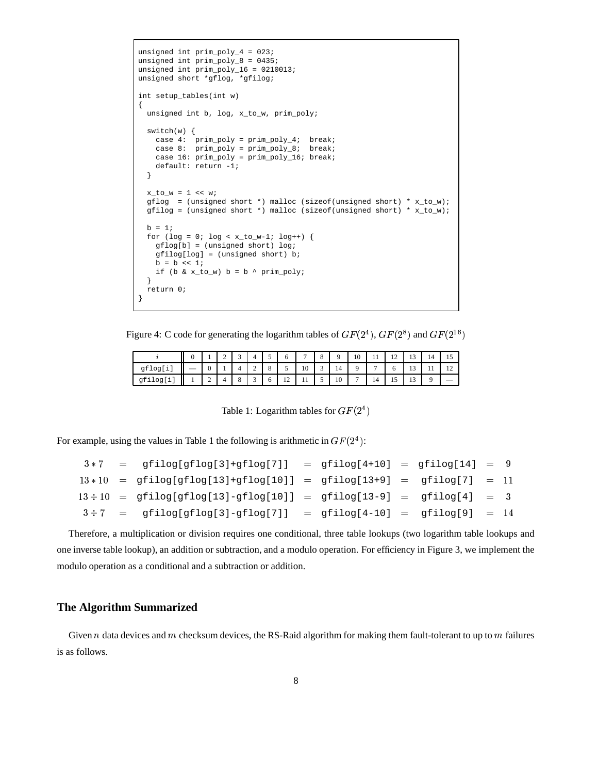```
unsigned int prim_poly_4 = 023;
unsigned int prim_poly_8 = 0435;
unsigned int prim_poly_16 = 0210013;
unsigned short *gflog, *gfilog;
int setup_tables(int w)
{
   unsigned int b, log, x_to_w, prim_poly;
  switch(w) {
 case 4: prim_poly = prim_poly_4; break;
 case 8: prim_poly = prim_poly_8; break;
     case 16: prim_poly = prim_poly_16; break;
     default: return -1;
   }
  x_to_w = 1 \iff w;
 gflog = (unsigned short *) malloc (sizeof(unsigned short) * x_to_w);
 gfilog = (unsigned short *) malloc (sizeof(unsigned short) * x_to_w;
 b = 1;for (log = 0; log < x_to_w-1; log ++) {
    gflog[b] = (unsigned short) log;
     gfilog[log] = (unsigned short) b;
    b = b \iff 1;if (b & x_to_w) b = b \land prim_poly;
   }
  return 0;
}
```
Figure 4: C code for generating the logarithm tables of  $GF(2^4)$ ,  $GF(2^8)$  and  $GF(2^{16})$ 

|        |   | $\sim$  |   |         |                          | $\overline{ }$ | $\circ$<br>O | $\Omega$ | 10             | $\pm$          | 1 <sub>2</sub><br>$\overline{1}$ | 1 <sub>2</sub><br>    | 14 |  |
|--------|---|---------|---|---------|--------------------------|----------------|--------------|----------|----------------|----------------|----------------------------------|-----------------------|----|--|
| gflog[ |   |         | ∼ | $\circ$ |                          | 10             |              | 14       |                | $\overline{ }$ | υ                                | 1 <sub>2</sub><br>1 J |    |  |
| gfilog | ∼ | $\circ$ |   | υ       | $\sim$<br>$\overline{1}$ | $\cdot$        |              | 10       | $\overline{ }$ | 14             | -<br><b>LJ</b>                   | 1 <sub>2</sub><br>    |    |  |

Table 1: Logarithm tables for  $GF(2^4)$ 

For example, using the values in Table 1 the following is arithmetic in  $GF(2<sup>4</sup>)$ :

|  | $3*7 = \text{gfilog[gflog[3]+gflog[7]]} = \text{gfilog[4+10]} = \text{gfilog[14]} = 9$ |  |  |  |
|--|----------------------------------------------------------------------------------------|--|--|--|
|  | $13*10 = gfilog[gflog[13]+gflog[10]] = gfilog[13+9] = gfilog[7] = 11$                  |  |  |  |
|  | $13 \div 10 = gfilog[gflog[13]-gflog[10]] = gfilog[13-9] = gfilog[4] = 3$              |  |  |  |
|  | $3 \div 7$ = gfilog[gflog[3]-gflog[7]] = gfilog[4-10] = gfilog[9] = 14                 |  |  |  |

Therefore, a multiplication or division requires one conditional, three table lookups (two logarithm table lookups and one inverse table lookup), an addition or subtraction, and a modulo operation. For efficiency in Figure 3, we implement the modulo operation as a conditional and a subtraction or addition.

# **The Algorithm Summarized**

Given  $n$  data devices and  $m$  checksum devices, the RS-Raid algorithm for making them fault-tolerant to up to  $m$  failures is as follows.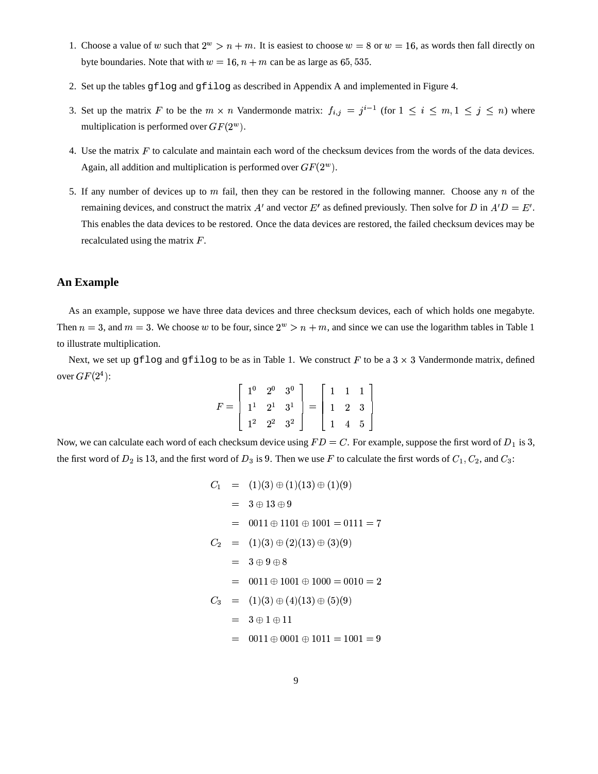- 1. Choose a value of w such that  $2^w > n + m$ . It is easiest to choose  $w = 8$  or  $w = 16$ , as words then fall directly on byte boundaries. Note that with  $w = 16$ ,  $n + m$  can be as large as 65, 535.
- 2. Set up the tables gflog and gfilog as described in Appendix A and implemented in Figure 4.
- 3. Set up the matrix F to be the  $m \times n$  Vandermonde matrix:  $f_{i,j} = j^{i-1}$  (for  $1 \le i \le m, 1 \le j \le n$ ) where multiplication is performed over  $GF(2^w)$ .
- 4. Use the matrix  $F$  to calculate and maintain each word of the checksum devices from the words of the data devices. Again, all addition and multiplication is performed over  $GF(2^w)$ .
- 5. If any number of devices up to m fail, then they can be restored in the following manner. Choose any n of the remaining devices, and construct the matrix  $A'$  and vector  $E'$  as defined previously. Then solve for D in  $A'D = E'$ . This enables the data devices to be restored. Once the data devices are restored, the failed checksum devices may be recalculated using the matrix  $F$ .

## **An Example**

As an example, suppose we have three data devices and three checksum devices, each of which holds one megabyte. Then  $n = 3$ , and  $m = 3$ . We choose w to be four, since  $2^w > n + m$ , and since we can use the logarithm tables in Table 1 to illustrate multiplication.

Next, we set up gflog and gfilog to be as in Table 1. We construct F to be a  $3 \times 3$  Vandermonde matrix, defined over  $GF(2^4)$ :

$$
F = \left[ \begin{array}{rrr} 1^0 & 2^0 & 3^0 \\ 1^1 & 2^1 & 3^1 \\ 1^2 & 2^2 & 3^2 \end{array} \right] = \left[ \begin{array}{rrr} 1 & 1 & 1 \\ 1 & 2 & 3 \\ 1 & 4 & 5 \end{array} \right]
$$

Now, we can calculate each word of each checksum device using  $FD = C$ . For example, suppose the first word of  $D_1$  is 3, the first word of  $D_2$  is 13, and the first word of  $D_3$  is 9. Then we use F to calculate the first words of  $C_1, C_2$ , and  $C_3$ :

$$
C_1 = (1)(3) \oplus (1)(13) \oplus (1)(9)
$$
  
\n
$$
= 3 \oplus 13 \oplus 9
$$
  
\n
$$
= 0011 \oplus 1101 \oplus 1001 = 0111 = 7
$$
  
\n
$$
C_2 = (1)(3) \oplus (2)(13) \oplus (3)(9)
$$
  
\n
$$
= 3 \oplus 9 \oplus 8
$$
  
\n
$$
= 0011 \oplus 1001 \oplus 1000 = 0010 = 2
$$
  
\n
$$
C_3 = (1)(3) \oplus (4)(13) \oplus (5)(9)
$$
  
\n
$$
= 3 \oplus 1 \oplus 11
$$
  
\n
$$
2001 \oplus 2001 \oplus 1011 = 1001 = 0
$$

 $=$  0011  $\oplus$  0001  $\oplus$  1011  $=$  1001  $=$  9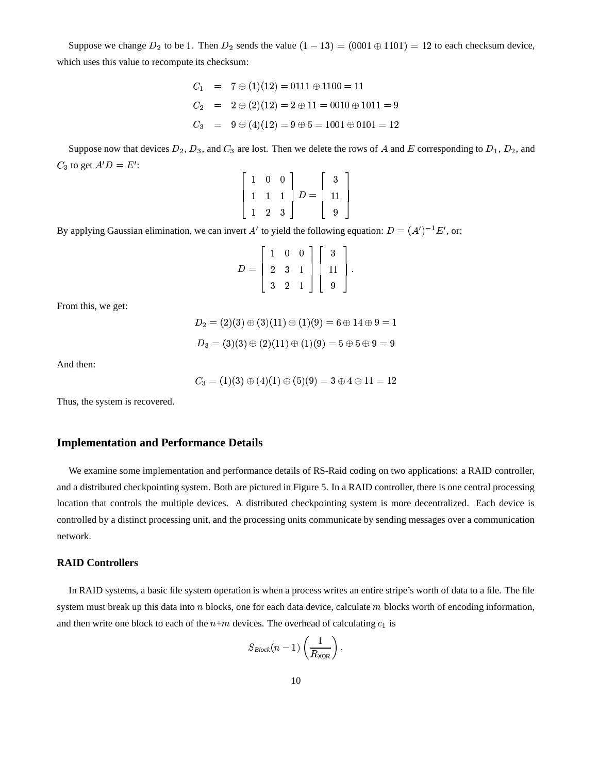Suppose we change  $D_2$  to be 1. Then  $D_2$  sends the value  $(1-13) = (0001 \oplus 1101) = 12$  to each checksum device, which uses this value to recompute its checksum:

$$
C_1 = 7 \oplus (1)(12) = 0111 \oplus 1100 = 11
$$
  
\n
$$
C_2 = 2 \oplus (2)(12) = 2 \oplus 11 = 0010 \oplus 1011 = 9
$$
  
\n
$$
C_3 = 9 \oplus (4)(12) = 9 \oplus 5 = 1001 \oplus 0101 = 12
$$

Suppose now that devices  $D_2$ ,  $D_3$ , and  $C_3$  are lost. Then we delete the rows of A and E corresponding to  $D_1$ ,  $D_2$ , and  $C_3$  to get  $A'D = E'$ :

> $\sim$

the contract of the contract of the contract of the contract of the contract of the contract of the contract of

$$
\begin{bmatrix} 1 & 0 & 0 \\ 1 & 1 & 1 \\ 1 & 2 & 3 \end{bmatrix} D = \begin{bmatrix} 3 \\ 11 \\ 9 \end{bmatrix}
$$

By applying Gaussian elimination, we can invert A' to yield the following equation:  $D = (A')^{-1}E'$ , or:

$$
D = \left[ \begin{array}{rrr} 1 & 0 & 0 \\ 2 & 3 & 1 \\ 3 & 2 & 1 \end{array} \right] \left[ \begin{array}{r} 3 \\ 11 \\ 9 \end{array} \right].
$$

From this, we get:

$$
D_2 = (2)(3) \oplus (3)(11) \oplus (1)(9) = 6 \oplus 14 \oplus 9 = 1
$$
  

$$
D_3 = (3)(3) \oplus (2)(11) \oplus (1)(9) = 5 \oplus 5 \oplus 9 = 9
$$

And then:

$$
C_3=(1)(3)\oplus (4)(1)\oplus (5)(9)=3\oplus 4\oplus 11=12
$$

Thus, the system is recovered.

## **Implementation and Performance Details**

We examine some implementation and performance details of RS-Raid coding on two applications: a RAID controller, and a distributed checkpointing system. Both are pictured in Figure 5. In a RAID controller, there is one central processing location that controls the multiple devices. A distributed checkpointing system is more decentralized. Each device is controlled by a distinct processing unit, and the processing units communicate by sending messages over a communication network.

### **RAID Controllers**

In RAID systems, a basic file system operation is when a process writes an entire stripe's worth of data to a file. The file system must break up this data into n blocks, one for each data device, calculate m blocks worth of encoding information, and then write one block to each of the  $n+m$  devices. The overhead of calculating  $c_1$  is

$$
S_{Block}(n-1)\left(\frac{1}{R_{\text{XOR}}}\right),
$$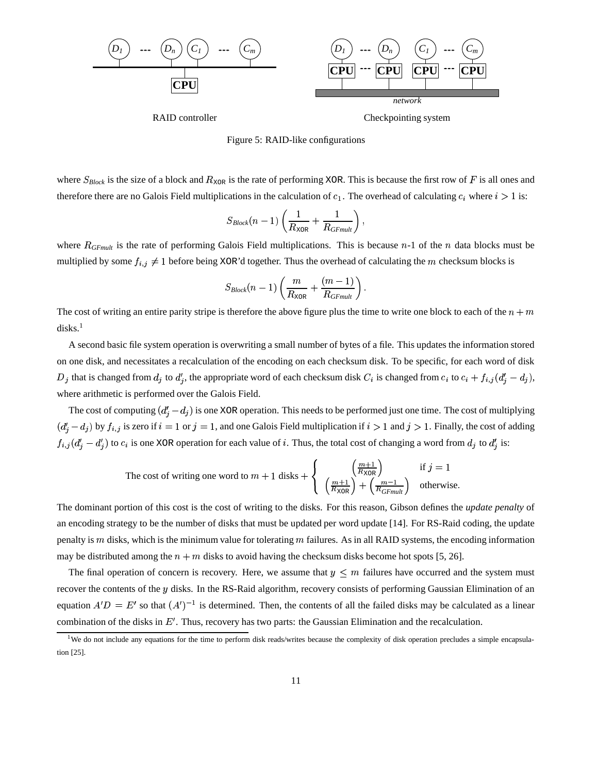

RAID controller Checkpointing system



where  $S_{Block}$  is the size of a block and  $R_{XOR}$  is the rate of performing XOR. This is because the first row of F is all ones and therefore there are no Galois Field multiplications in the calculation of  $c_1$ . The overhead of calculating  $c_i$  where  $i > 1$  is:

$$
S_{Block}(n-1)\left(\frac{1}{R_{\text{XOR}}}+\frac{1}{R_{GFmult}}\right),
$$

where  $R_{GFmulti}$  is the rate of performing Galois Field multiplications. This is because  $n-1$  of the n data blocks must be multiplied by some  $f_{i,j} \neq 1$  before being XOR'd together. Thus the overhead of calculating the m checksum blocks is

$$
S_{Block}(n-1)\left(\frac{m}{R_{\text{XOR}}} + \frac{(m-1)}{R_{GFmult}}\right).
$$

The cost of writing an entire parity stripe is therefore the above figure plus the time to write one block to each of the  $n + m$  $disks.<sup>1</sup>$ 

A second basic file system operation is overwriting a small number of bytes of a file. This updates the information stored on one disk, and necessitates a recalculation of the encoding on each checksum disk. To be specific, for each word of disk  $D_i$  that is changed from  $d_i$  to  $d'_i$ , the appropriate word of each checksum disk  $C_i$  is changed from  $c_i$  to  $c_i + f_{i,i}(d'_i - d_i)$ , where arithmetic is performed over the Galois Field.

The cost of computing  $(d'_i - d_j)$  is one XOR operation. This needs to be performed just one time. The cost of multiplying  $(d_i - d_i)$  by  $f_{i,j}$  is zero if  $i = 1$  or  $j = 1$ , and one Galois Field multiplication if  $i > 1$  and  $j > 1$ . Finally, the cost of adding  $f_{i,j}(d'_i - d'_j)$  to  $c_i$  is one XOR operation for each value of i. Thus, the total cost of changing a word from  $d_j$  to  $d'_i$  is:

The cost of writing one word to 
$$
m + 1
$$
 disks + 
$$
\begin{cases} \frac{m+1}{R_{\text{XOR}}} \\ \frac{m+1}{R_{\text{XOR}}} + \frac{m-1}{R_{\text{GF}}}\end{cases}
$$
 if  $j = 1$  otherwise.

The dominant portion of this cost is the cost of writing to the disks. For this reason, Gibson defines the *update penalty* of an encoding strategy to be the number of disks that must be updated per word update [14]. For RS-Raid coding, the update penalty is  $m$  disks, which is the minimum value for tolerating  $m$  failures. As in all RAID systems, the encoding information may be distributed among the  $n + m$  disks to avoid having the checksum disks become hot spots [5, 26].

The final operation of concern is recovery. Here, we assume that  $y \leq m$  failures have occurred and the system must recover the contents of the  $y$  disks. In the RS-Raid algorithm, recovery consists of performing Gaussian Elimination of an equation  $A'D = E'$  so that  $(A')^{-1}$  is determined. Then, the contents of all the failed disks may be calculated as a linear combination of the disks in  $E'$ . Thus, recovery has two parts: the Gaussian Elimination and the recalculation.

<sup>&</sup>lt;sup>1</sup>We do not include any equations for the time to perform disk reads/writes because the complexity of disk operation precludes a simple encapsulation [25].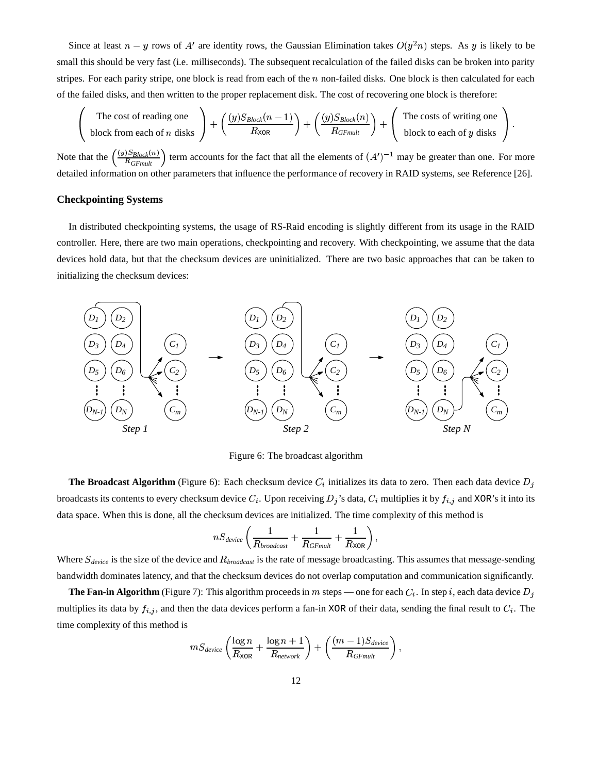Since at least  $n - y$  rows of A' are identity rows, the Gaussian Elimination takes  $O(y^2n)$  steps. As y is likely to be small this should be very fast (i.e. milliseconds). The subsequent recalculation of the failed disks can be broken into parity stripes. For each parity stripe, one block is read from each of the  $n$  non-failed disks. One block is then calculated for each of the failed disks, and then written to the proper replacement disk. The cost of recovering one block is therefore:

The cost of reading one  
block from each of *n* disks 
$$
\left(\frac{(y)S_{Block}(n-1)}{R_{XOR}}\right) + \left(\frac{(y)S_{Block}(n)}{R_{GFmult}}\right) + \left(\frac{\text{The costs of writing one}}{\text{block to each of } y \text{ disks}}\right).
$$

Note that the  $\left(\frac{(y)S_{Block}(n)}{R_{GFmult}}\right)$  term accounts for the fact that all the elements of  $(A')^{-1}$  may be greater than one. For more detailed information on other parameters that influence the performance of recovery in RAID systems, see Reference [26].

### **Checkpointing Systems**

In distributed checkpointing systems, the usage of RS-Raid encoding is slightly different from its usage in the RAID controller. Here, there are two main operations, checkpointing and recovery. With checkpointing, we assume that the data devices hold data, but that the checksum devices are uninitialized. There are two basic approaches that can be taken to initializing the checksum devices:



Figure 6: The broadcast algorithm

**The Broadcast Algorithm** (Figure 6): Each checksum device  $C_i$  initializes its data to zero. Then each data device  $D_j$ broadcasts its contents to every checksum device  $C_i$ . Upon receiving  $D_j$ 's data,  $C_i$  multiplies it by  $f_{i,j}$  and XOR's it into its data space. When this is done, all the checksum devices are initialized. The time complexity of this method is

$$
nS_{device} \left( \frac{1}{R_{broadcast}} + \frac{1}{R_{GFmult}} + \frac{1}{R_{XOR}} \right),
$$

Where  $S_{device}$  is the size of the device and  $R_{broadcast}$  is the rate of message broadcasting. This assumes that message-sending bandwidth dominates latency, and that the checksum devices do not overlap computation and communication significantly.

**The Fan-in Algorithm** (Figure 7): This algorithm proceeds in m steps — one for each  $C_i$ . In step *i*, each data device  $D_i$ multiplies its data by  $f_{i,j}$ , and then the data devices perform a fan-in XOR of their data, sending the final result to  $C_i$ . The time complexity of this method is

$$
mS_{device} \left( \frac{\log n}{R_{\text{XOR}}} + \frac{\log n + 1}{R_{network}} \right) + \left( \frac{(m-1)S_{device}}{R_{GFmult}} \right),
$$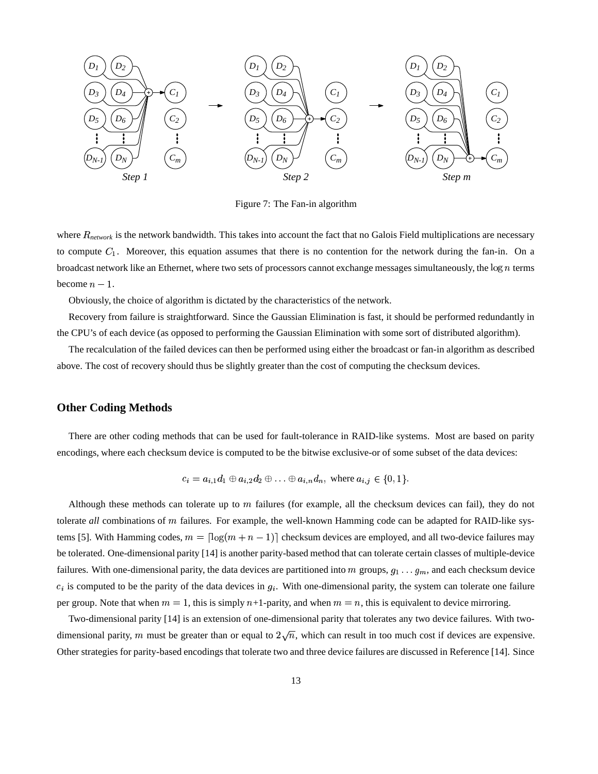

Figure 7: The Fan-in algorithm

where  $R_{network}$  is the network bandwidth. This takes into account the fact that no Galois Field multiplications are necessary to compute  $C_1$ . Moreover, this equation assumes that there is no contention for the network during the fan-in. On a broadcast network like an Ethernet, where two sets of processors cannot exchange messages simultaneously, the  $\log n$  terms become  $n-1$ .

Obviously, the choice of algorithm is dictated by the characteristics of the network.

Recovery from failure is straightforward. Since the Gaussian Elimination is fast, it should be performed redundantly in the CPU's of each device (as opposed to performing the Gaussian Elimination with some sort of distributed algorithm).

The recalculation of the failed devices can then be performed using either the broadcast or fan-in algorithm as described above. The cost of recovery should thus be slightly greater than the cost of computing the checksum devices.

### **Other Coding Methods**

There are other coding methods that can be used for fault-tolerance in RAID-like systems. Most are based on parity encodings, where each checksum device is computed to be the bitwise exclusive-or of some subset of the data devices:

$$
c_i = a_{i,1}d_1 \oplus a_{i,2}d_2 \oplus \ldots \oplus a_{i,n}d_n, \text{ where } a_{i,j} \in \{0,1\}.
$$

Although these methods can tolerate up to  $m$  failures (for example, all the checksum devices can fail), they do not tolerate *all* combinations of *m* failures. For example, the well-known Hamming code can be adapted for RAID-like systems [5]. With Hamming codes,  $m = \lfloor \log(m + n - 1) \rfloor$  checksum devices are employed, and all two-device failures may be tolerated. One-dimensional parity [14] is another parity-based method that can tolerate certain classes of multiple-device failures. With one-dimensional parity, the data devices are partitioned into m groups,  $g_1 \ldots g_m$ , and each checksum device  $c_i$  is computed to be the parity of the data devices in  $g_i$ . With one-dimensional parity, the system can tolerate one failure per group. Note that when  $m = 1$ , this is simply  $n+1$ -parity, and when  $m = n$ , this is equivalent to device mirroring.

Two-dimensional parity [14] is an extension of one-dimensional parity that tolerates any two device failures. With twodimensional parity, m must be greater than or equal to  $2\sqrt{n}$ , which can result in too much cost if devices are expensive. Other strategies for parity-based encodings that tolerate two and three device failures are discussed in Reference [14]. Since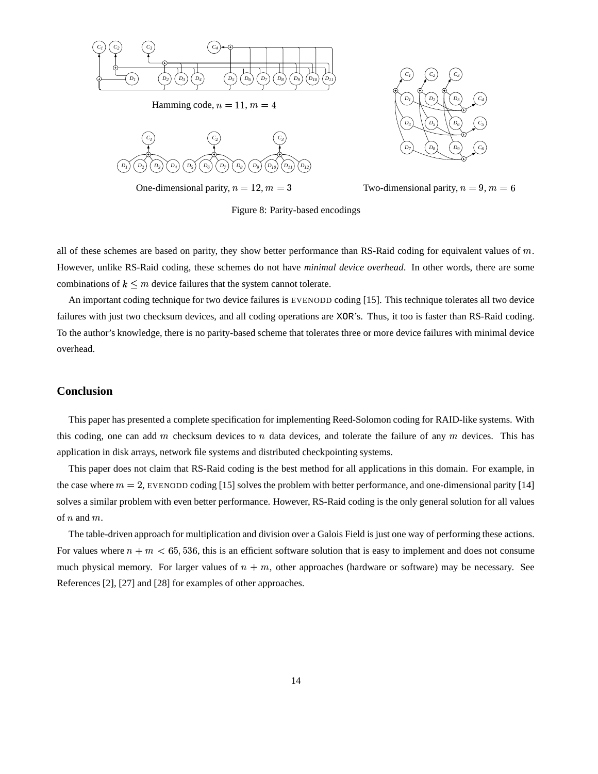

Hamming code,  $n=11, m=4$ 



One-dimensional parity,  $n = 12, m = 3$ 





Figure 8: Parity-based encodings

all of these schemes are based on parity, they show better performance than RS-Raid coding for equivalent values of  $m$ . However, unlike RS-Raid coding, these schemes do not have *minimal device overhead*. In other words, there are some combinations of  $k \leq m$  device failures that the system cannot tolerate.

An important coding technique for two device failures is EVENODD coding [15]. This technique tolerates all two device failures with just two checksum devices, and all coding operations are XOR's. Thus, it too is faster than RS-Raid coding. To the author's knowledge, there is no parity-based scheme that tolerates three or more device failures with minimal device overhead.

### **Conclusion**

This paper has presented a complete specification for implementing Reed-Solomon coding for RAID-like systems. With this coding, one can add  $m$  checksum devices to  $n$  data devices, and tolerate the failure of any  $m$  devices. This has application in disk arrays, network file systems and distributed checkpointing systems.

This paper does not claim that RS-Raid coding is the best method for all applications in this domain. For example, in the case where  $m = 2$ , EVENODD coding [15] solves the problem with better performance, and one-dimensional parity [14] solves a similar problem with even better performance. However, RS-Raid coding is the only general solution for all values of  $n$  and  $m$ .

The table-driven approach for multiplication and division over a Galois Field is just one way of performing these actions. For values where  $n + m < 65,536$ , this is an efficient software solution that is easy to implement and does not consume much physical memory. For larger values of  $n + m$ , other approaches (hardware or software) may be necessary. See References [2], [27] and [28] for examples of other approaches.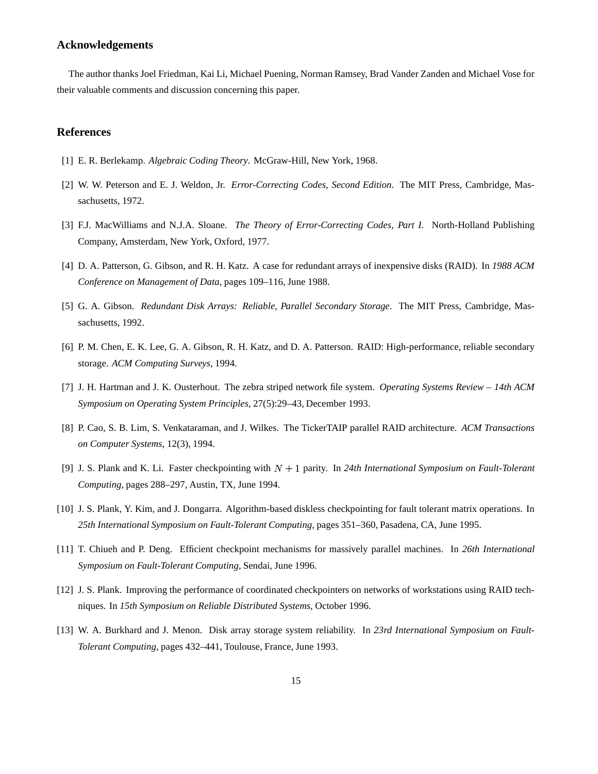### **Acknowledgements**

The author thanks Joel Friedman, Kai Li, Michael Puening, Norman Ramsey, Brad Vander Zanden and Michael Vose for their valuable comments and discussion concerning this paper.

### **References**

- [1] E. R. Berlekamp. *Algebraic Coding Theory*. McGraw-Hill, New York, 1968.
- [2] W. W. Peterson and E. J. Weldon, Jr. *Error-Correcting Codes, Second Edition*. The MIT Press, Cambridge, Massachusetts, 1972.
- [3] F.J. MacWilliams and N.J.A. Sloane. *The Theory of Error-Correcting Codes, Part I*. North-Holland Publishing Company, Amsterdam, New York, Oxford, 1977.
- [4] D. A. Patterson, G. Gibson, and R. H. Katz. A case for redundant arrays of inexpensive disks (RAID). In *1988 ACM Conference on Management of Data*, pages 109–116, June 1988.
- [5] G. A. Gibson. *Redundant Disk Arrays: Reliable, Parallel Secondary Storage*. The MIT Press, Cambridge, Massachusetts, 1992.
- [6] P. M. Chen, E. K. Lee, G. A. Gibson, R. H. Katz, and D. A. Patterson. RAID: High-performance, reliable secondary storage. *ACM Computing Surveys*, 1994.
- [7] J. H. Hartman and J. K. Ousterhout. The zebra striped network file system. *Operating Systems Review – 14th ACM Symposium on Operating System Principles*, 27(5):29–43, December 1993.
- [8] P. Cao, S. B. Lim, S. Venkataraman, and J. Wilkes. The TickerTAIP parallel RAID architecture. *ACM Transactions on Computer Systems*, 12(3), 1994.
- [9] J. S. Plank and K. Li. Faster checkpointing with  $N + 1$  parity. In 24th International Symposium on Fault-Tolerant *Computing*, pages 288–297, Austin, TX, June 1994.
- [10] J. S. Plank, Y. Kim, and J. Dongarra. Algorithm-based diskless checkpointing for fault tolerant matrix operations. In *25th International Symposium on Fault-Tolerant Computing*, pages 351–360, Pasadena, CA, June 1995.
- [11] T. Chiueh and P. Deng. Efficient checkpoint mechanisms for massively parallel machines. In *26th International Symposium on Fault-Tolerant Computing*, Sendai, June 1996.
- [12] J. S. Plank. Improving the performance of coordinated checkpointers on networks of workstations using RAID techniques. In *15th Symposium on Reliable Distributed Systems*, October 1996.
- [13] W. A. Burkhard and J. Menon. Disk array storage system reliability. In *23rd International Symposium on Fault-Tolerant Computing*, pages 432–441, Toulouse, France, June 1993.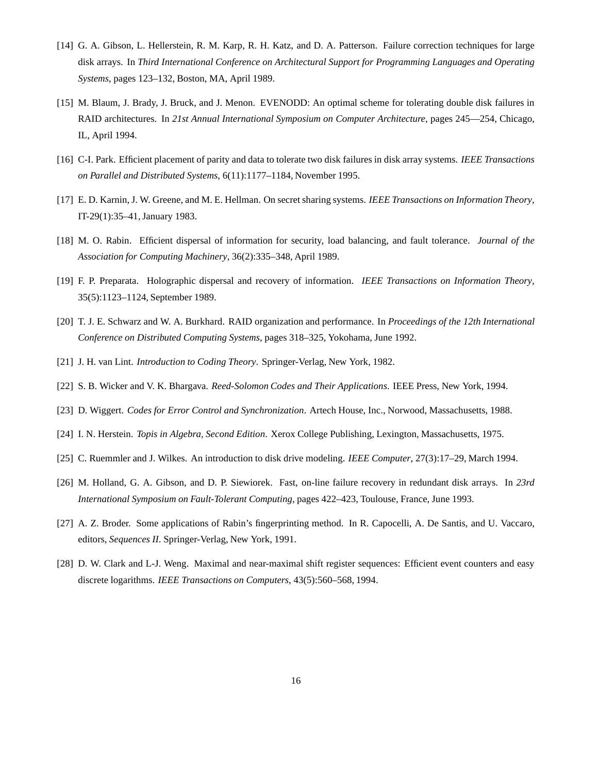- [14] G. A. Gibson, L. Hellerstein, R. M. Karp, R. H. Katz, and D. A. Patterson. Failure correction techniques for large disk arrays. In *Third International Conference on Architectural Support for Programming Languages and Operating Systems*, pages 123–132, Boston, MA, April 1989.
- [15] M. Blaum, J. Brady, J. Bruck, and J. Menon. EVENODD: An optimal scheme for tolerating double disk failures in RAID architectures. In *21st Annual International Symposium on Computer Architecture*, pages 245—254, Chicago, IL, April 1994.
- [16] C-I. Park. Efficient placement of parity and data to tolerate two disk failures in disk array systems. *IEEE Transactions on Parallel and Distributed Systems*, 6(11):1177–1184, November 1995.
- [17] E. D. Karnin, J. W. Greene, and M. E. Hellman. On secret sharing systems. *IEEE Transactions on Information Theory*, IT-29(1):35–41,January 1983.
- [18] M. O. Rabin. Efficient dispersal of information for security, load balancing, and fault tolerance. *Journal of the Association for Computing Machinery*, 36(2):335–348, April 1989.
- [19] F. P. Preparata. Holographic dispersal and recovery of information. *IEEE Transactions on Information Theory*, 35(5):1123–1124, September 1989.
- [20] T. J. E. Schwarz and W. A. Burkhard. RAID organization and performance. In *Proceedings of the 12th International Conference on Distributed Computing Systems*, pages 318–325, Yokohama, June 1992.
- [21] J. H. van Lint. *Introduction to Coding Theory*. Springer-Verlag, New York, 1982.
- [22] S. B. Wicker and V. K. Bhargava. *Reed-Solomon Codes and Their Applications*. IEEE Press, New York, 1994.
- [23] D. Wiggert. *Codes for Error Control and Synchronization*. Artech House, Inc., Norwood, Massachusetts, 1988.
- [24] I. N. Herstein. *Topis in Algebra, Second Edition*. Xerox College Publishing, Lexington, Massachusetts, 1975.
- [25] C. Ruemmler and J. Wilkes. An introduction to disk drive modeling. *IEEE Computer*, 27(3):17–29, March 1994.
- [26] M. Holland, G. A. Gibson, and D. P. Siewiorek. Fast, on-line failure recovery in redundant disk arrays. In *23rd International Symposium on Fault-Tolerant Computing*, pages 422–423, Toulouse, France, June 1993.
- [27] A. Z. Broder. Some applications of Rabin's fingerprinting method. In R. Capocelli, A. De Santis, and U. Vaccaro, editors, *Sequences II*. Springer-Verlag, New York, 1991.
- [28] D. W. Clark and L-J. Weng. Maximal and near-maximal shift register sequences: Efficient event counters and easy discrete logarithms. *IEEE Transactions on Computers*, 43(5):560–568, 1994.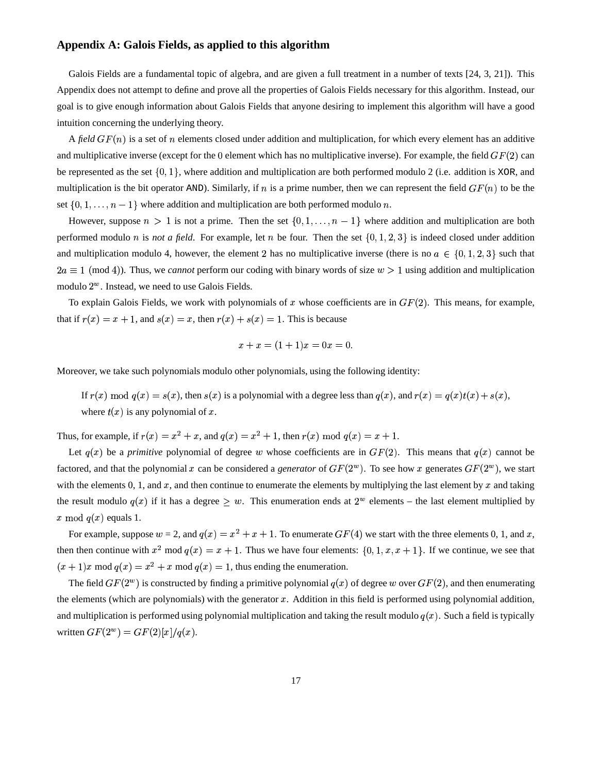### **Appendix A: Galois Fields, as applied to this algorithm**

Galois Fields are a fundamental topic of algebra, and are given a full treatment in a number of texts [24, 3, 21]). This Appendix does not attempt to define and prove all the properties of Galois Fields necessary for this algorithm. Instead, our goal is to give enough information about Galois Fields that anyone desiring to implement this algorithm will have a good intuition concerning the underlying theory.

A *field*  $GF(n)$  is a set of n elements closed under addition and multiplication, for which every element has an additive and multiplicative inverse (except for the 0 element which has no multiplicative inverse). For example, the field  $GF(2)$  can be represented as the set  $\{0,1\}$ , where addition and multiplication are both performed modulo 2 (i.e. addition is XOR, and multiplication is the bit operator AND). Similarly, if n is a prime number, then we can represent the field  $GF(n)$  to be the set  $\{0, 1, \ldots, n-1\}$  where addition and multiplication are both performed modulo n.

However, suppose  $n > 1$  is not a prime. Then the set  $\{0, 1, \ldots, n-1\}$  where addition and multiplication are both performed modulo *n* is *not a field*. For example, let *n* be four. Then the set  $\{0, 1, 2, 3\}$  is indeed closed under addition and multiplication modulo 4, however, the element 2 has no multiplicative inverse (there is no  $a \in \{0,1,2,3\}$  such that  $2a \equiv 1 \pmod{4}$ . Thus, we *cannot* perform our coding with binary words of size  $w > 1$  using addition and multiplication modulo  $2^w$ . Instead, we need to use Galois Fields.

To explain Galois Fields, we work with polynomials of x whose coefficients are in  $GF(2)$ . This means, for example, that if  $r(x) = x + 1$ , and  $s(x) = x$ , then  $r(x) + s(x) = 1$ . This is because

$$
x + x = (1 + 1)x = 0x = 0.
$$

Moreover, we take such polynomials modulo other polynomials, using the following identity:

If  $r(x) \mod q(x) = s(x)$ , then  $s(x)$  is a polynomial with a degree less than  $q(x)$ , and  $r(x) = q(x)t(x) + s(x)$ , where  $t(x)$  is any polynomial of x.

Thus, for example, if  $r(x) = x^2 + x$ , and  $q(x) = x^2 + 1$ , then  $r(x) \mod q(x) = x + 1$ .

Let  $q(x)$  be a *primitive* polynomial of degree w whose coefficients are in  $GF(2)$ . This means that  $q(x)$  cannot be factored, and that the polynomial x can be considered a *generator* of  $GF(2^w)$ . To see how x generates  $GF(2^w)$ , we start with the elements 0, 1, and  $x$ , and then continue to enumerate the elements by multiplying the last element by  $x$  and taking the result modulo  $q(x)$  if it has a degree  $\geq w$ . This enumeration ends at  $2^w$  elements – the last element multiplied by x mod  $q(x)$  equals 1.

For example, suppose  $w = 2$ , and  $q(x) = x^2 + x + 1$ . To enumerate  $GF(4)$  we start with the three elements 0, 1, and x, then then continue with  $x^2$  mod  $q(x) = x + 1$ . Thus we have four elements:  $\{0, 1, x, x + 1\}$ . If we continue, we see that  $(x + 1)x \mod q(x) = x^2 + x \mod q(x) = 1$ , thus ending the enumeration.

The field  $GF(2^w)$  is constructed by finding a primitive polynomial  $q(x)$  of degree w over  $GF(2)$ , and then enumerating the elements (which are polynomials) with the generator  $x$ . Addition in this field is performed using polynomial addition, and multiplication is performed using polynomial multiplication and taking the result modulo  $q(x)$ . Such a field is typically written  $GF(2^w) = GF(2)[x]/q(x)$ .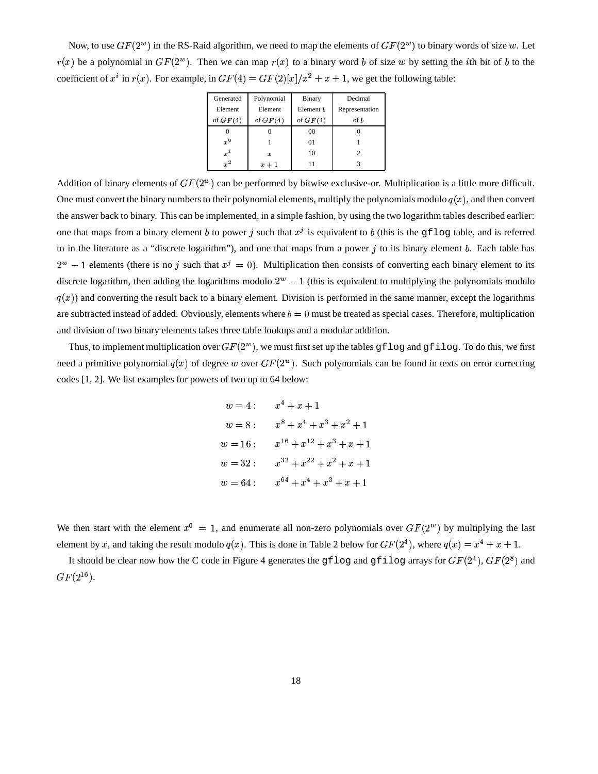Now, to use  $GF(2^w)$  in the RS-Raid algorithm, we need to map the elements of  $GF(2^w)$  to binary words of size w. Let  $r(x)$  be a polynomial in  $GF(2^w)$ . Then we can map  $r(x)$  to a binary word b of size w by setting the *i*th bit of b to the coefficient of x<sup>i</sup> in  $r(x)$ . For example, in  $GF(4) = GF(2)[x]/x^2 + x + 1$ , we get the following table:

| Generated  | Polynomial | Binary     | Decimal        |
|------------|------------|------------|----------------|
| Element    | Element    | Element b  | Representation |
| of $GF(4)$ | of $GF(4)$ | of $GF(4)$ | of b           |
|            |            | 00         |                |
| $x^0$      |            | 01         |                |
| $x^1$      | x          | 10         |                |
| $x^2$      | $x+1$      |            |                |

Addition of binary elements of  $GF(2^w)$  can be performed by bitwise exclusive-or. Multiplication is a little more difficult. One must convert the binary numbers to their polynomial elements, multiply the polynomials modulo  $q(x)$ , and then convert the answer back to binary. This can be implemented, in a simple fashion, by using the two logarithm tables described earlier: one that maps from a binary element b to power j such that  $x^j$  is equivalent to b (this is the gflog table, and is referred to in the literature as a "discrete logarithm"), and one that maps from a power  $j$  to its binary element  $b$ . Each table has  $2^w - 1$  elements (there is no j such that  $x^j = 0$ ). Multiplication then consists of converting each binary element to its discrete logarithm, then adding the logarithms modulo  $2^w - 1$  (this is equivalent to multiplying the polynomials modulo  $q(x)$  and converting the result back to a binary element. Division is performed in the same manner, except the logarithms are subtracted instead of added. Obviously, elements where  $b = 0$  must be treated as special cases. Therefore, multiplication and division of two binary elements takes three table lookups and a modular addition.

Thus, to implement multiplication over  $GF(2^w)$ , we must first set up the tables gflog and gfilog. To do this, we first need a primitive polynomial  $q(x)$  of degree w over  $GF(2^w)$ . Such polynomials can be found in texts on error correcting codes [1, 2]. We list examples for powers of two up to 64 below:

$$
w = 4: \t x4 + x + 1
$$
  
\n
$$
w = 8: \t x8 + x4 + x3 + x2 + 1
$$
  
\n
$$
w = 16: \t x16 + x12 + x3 + x + 1
$$
  
\n
$$
w = 32: \t x32 + x22 + x2 + x + 1
$$
  
\n
$$
w = 64: \t x64 + x4 + x3 + x + 1
$$

We then start with the element  $x^0 = 1$ , and enumerate all non-zero polynomials over  $GF(2^w)$  by multiplying the last element by x, and taking the result modulo  $q(x)$ . This is done in Table 2 below for  $GF(2^4)$ , where  $q(x) = x^4 + x + 1$ .

It should be clear now how the C code in Figure 4 generates the gflog and gfilog arrays for  $GF(2^4)$ ,  $GF(2^8)$  and  $GF(2^{16}).$